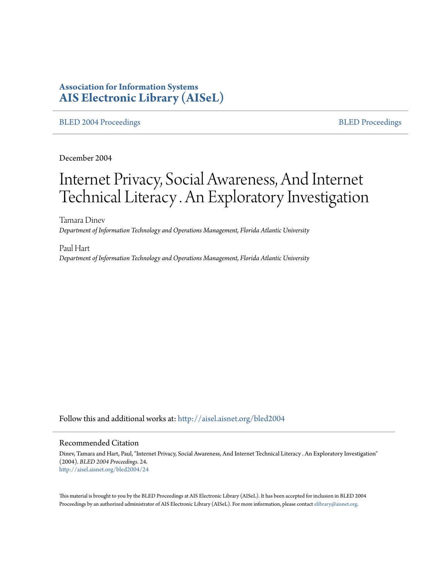## **Association for Information Systems [AIS Electronic Library \(AISeL\)](http://aisel.aisnet.org?utm_source=aisel.aisnet.org%2Fbled2004%2F24&utm_medium=PDF&utm_campaign=PDFCoverPages)**

#### [BLED 2004 Proceedings](http://aisel.aisnet.org/bled2004?utm_source=aisel.aisnet.org%2Fbled2004%2F24&utm_medium=PDF&utm_campaign=PDFCoverPages) and the state of the state of the [BLED Proceedings](http://aisel.aisnet.org/bled?utm_source=aisel.aisnet.org%2Fbled2004%2F24&utm_medium=PDF&utm_campaign=PDFCoverPages) and the BLED Proceedings and the BLED Proceedings and the BLED Proceedings and the BLED Proceedings and the BLED Proceedings and the BLED Proceedings

December 2004

# Internet Privacy, Social Awareness, And Internet Technical Literacy . An Exploratory Investigation

Tamara Dinev *Department of Information Technology and Operations Management, Florida Atlantic University*

Paul Hart *Department of Information Technology and Operations Management, Florida Atlantic University*

Follow this and additional works at: [http://aisel.aisnet.org/bled2004](http://aisel.aisnet.org/bled2004?utm_source=aisel.aisnet.org%2Fbled2004%2F24&utm_medium=PDF&utm_campaign=PDFCoverPages)

#### Recommended Citation

Dinev, Tamara and Hart, Paul, "Internet Privacy, Social Awareness, And Internet Technical Literacy . An Exploratory Investigation" (2004). *BLED 2004 Proceedings*. 24. [http://aisel.aisnet.org/bled2004/24](http://aisel.aisnet.org/bled2004/24?utm_source=aisel.aisnet.org%2Fbled2004%2F24&utm_medium=PDF&utm_campaign=PDFCoverPages)

This material is brought to you by the BLED Proceedings at AIS Electronic Library (AISeL). It has been accepted for inclusion in BLED 2004 Proceedings by an authorized administrator of AIS Electronic Library (AISeL). For more information, please contact [elibrary@aisnet.org](mailto:elibrary@aisnet.org%3E).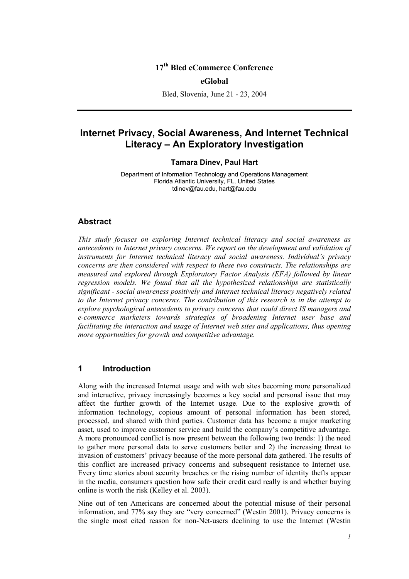## **17th Bled eCommerce Conference**

#### **eGlobal**

Bled, Slovenia, June 21 - 23, 2004

## **Internet Privacy, Social Awareness, And Internet Technical Literacy – An Exploratory Investigation**

#### **Tamara Dinev, Paul Hart**

Department of Information Technology and Operations Management Florida Atlantic University, FL, United States tdinev@fau.edu, hart@fau.edu

#### **Abstract**

*This study focuses on exploring Internet technical literacy and social awareness as antecedents to Internet privacy concerns. We report on the development and validation of instruments for Internet technical literacy and social awareness. Individual's privacy concerns are then considered with respect to these two constructs. The relationships are measured and explored through Exploratory Factor Analysis (EFA) followed by linear regression models. We found that all the hypothesized relationships are statistically significant - social awareness positively and Internet technical literacy negatively related to the Internet privacy concerns. The contribution of this research is in the attempt to explore psychological antecedents to privacy concerns that could direct IS managers and e-commerce marketers towards strategies of broadening Internet user base and facilitating the interaction and usage of Internet web sites and applications, thus opening more opportunities for growth and competitive advantage.* 

#### **1 Introduction**

Along with the increased Internet usage and with web sites becoming more personalized and interactive, privacy increasingly becomes a key social and personal issue that may affect the further growth of the Internet usage. Due to the explosive growth of information technology, copious amount of personal information has been stored, processed, and shared with third parties. Customer data has become a major marketing asset, used to improve customer service and build the company's competitive advantage. A more pronounced conflict is now present between the following two trends: 1) the need to gather more personal data to serve customers better and 2) the increasing threat to invasion of customers' privacy because of the more personal data gathered. The results of this conflict are increased privacy concerns and subsequent resistance to Internet use. Every time stories about security breaches or the rising number of identity thefts appear in the media, consumers question how safe their credit card really is and whether buying online is worth the risk (Kelley et al. 2003).

Nine out of ten Americans are concerned about the potential misuse of their personal information, and 77% say they are "very concerned" (Westin 2001). Privacy concerns is the single most cited reason for non-Net-users declining to use the Internet (Westin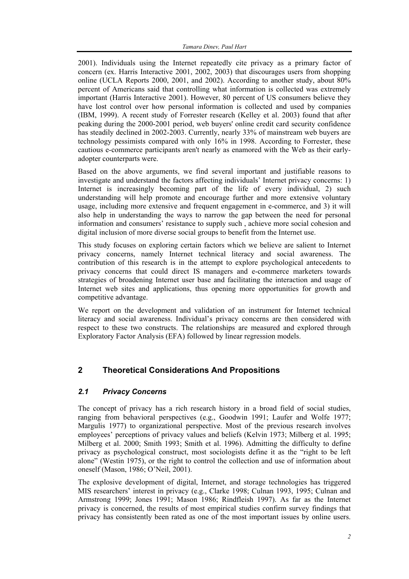2001). Individuals using the Internet repeatedly cite privacy as a primary factor of concern (ex. Harris Interactive 2001, 2002, 2003) that discourages users from shopping online (UCLA Reports 2000, 2001, and 2002). According to another study, about 80% percent of Americans said that controlling what information is collected was extremely important (Harris Interactive 2001). However, 80 percent of US consumers believe they have lost control over how personal information is collected and used by companies (IBM, 1999). A recent study of Forrester research (Kelley et al. 2003) found that after peaking during the 2000-2001 period, web buyers' online credit card security confidence has steadily declined in 2002-2003. Currently, nearly 33% of mainstream web buyers are technology pessimists compared with only 16% in 1998. According to Forrester, these cautious e-commerce participants aren't nearly as enamored with the Web as their earlyadopter counterparts were.

Based on the above arguments, we find several important and justifiable reasons to investigate and understand the factors affecting individuals' Internet privacy concerns: 1) Internet is increasingly becoming part of the life of every individual, 2) such understanding will help promote and encourage further and more extensive voluntary usage, including more extensive and frequent engagement in e-commerce, and 3) it will also help in understanding the ways to narrow the gap between the need for personal information and consumers' resistance to supply such , achieve more social cohesion and digital inclusion of more diverse social groups to benefit from the Internet use.

This study focuses on exploring certain factors which we believe are salient to Internet privacy concerns, namely Internet technical literacy and social awareness. The contribution of this research is in the attempt to explore psychological antecedents to privacy concerns that could direct IS managers and e-commerce marketers towards strategies of broadening Internet user base and facilitating the interaction and usage of Internet web sites and applications, thus opening more opportunities for growth and competitive advantage.

We report on the development and validation of an instrument for Internet technical literacy and social awareness. Individual's privacy concerns are then considered with respect to these two constructs. The relationships are measured and explored through Exploratory Factor Analysis (EFA) followed by linear regression models.

## **2 Theoretical Considerations And Propositions**

## *2.1 Privacy Concerns*

The concept of privacy has a rich research history in a broad field of social studies, ranging from behavioral perspectives (e.g., Goodwin 1991; Laufer and Wolfe 1977; Margulis 1977) to organizational perspective. Most of the previous research involves employees' perceptions of privacy values and beliefs (Kelvin 1973; Milberg et al. 1995; Milberg et al. 2000; Smith 1993; Smith et al. 1996). Admitting the difficulty to define privacy as psychological construct, most sociologists define it as the "right to be left alone" (Westin 1975), or the right to control the collection and use of information about oneself (Mason, 1986; O'Neil, 2001).

The explosive development of digital, Internet, and storage technologies has triggered MIS researchers' interest in privacy (e.g., Clarke 1998; Culnan 1993, 1995; Culnan and Armstrong 1999; Jones 1991; Mason 1986; Rindfleish 1997). As far as the Internet privacy is concerned, the results of most empirical studies confirm survey findings that privacy has consistently been rated as one of the most important issues by online users.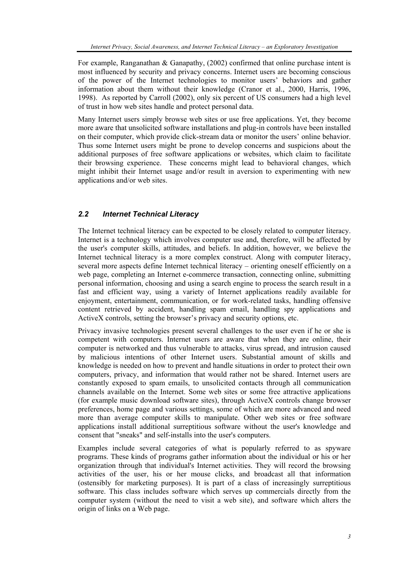For example, Ranganathan & Ganapathy, (2002) confirmed that online purchase intent is most influenced by security and privacy concerns. Internet users are becoming conscious of the power of the Internet technologies to monitor users' behaviors and gather information about them without their knowledge (Cranor et al., 2000, Harris, 1996, 1998). As reported by Carroll (2002), only six percent of US consumers had a high level of trust in how web sites handle and protect personal data.

Many Internet users simply browse web sites or use free applications. Yet, they become more aware that unsolicited software installations and plug-in controls have been installed on their computer, which provide click-stream data or monitor the users' online behavior. Thus some Internet users might be prone to develop concerns and suspicions about the additional purposes of free software applications or websites, which claim to facilitate their browsing experience. These concerns might lead to behavioral changes, which might inhibit their Internet usage and/or result in aversion to experimenting with new applications and/or web sites.

## *2.2 Internet Technical Literacy*

The Internet technical literacy can be expected to be closely related to computer literacy. Internet is a technology which involves computer use and, therefore, will be affected by the user's computer skills, attitudes, and beliefs. In addition, however, we believe the Internet technical literacy is a more complex construct. Along with computer literacy, several more aspects define Internet technical literacy – orienting oneself efficiently on a web page, completing an Internet e-commerce transaction, connecting online, submitting personal information, choosing and using a search engine to process the search result in a fast and efficient way, using a variety of Internet applications readily available for enjoyment, entertainment, communication, or for work-related tasks, handling offensive content retrieved by accident, handling spam email, handling spy applications and ActiveX controls, setting the browser's privacy and security options, etc.

Privacy invasive technologies present several challenges to the user even if he or she is competent with computers. Internet users are aware that when they are online, their computer is networked and thus vulnerable to attacks, virus spread, and intrusion caused by malicious intentions of other Internet users. Substantial amount of skills and knowledge is needed on how to prevent and handle situations in order to protect their own computers, privacy, and information that would rather not be shared. Internet users are constantly exposed to spam emails, to unsolicited contacts through all communication channels available on the Internet. Some web sites or some free attractive applications (for example music download software sites), through ActiveX controls change browser preferences, home page and various settings, some of which are more advanced and need more than average computer skills to manipulate. Other web sites or free software applications install additional surreptitious software without the user's knowledge and consent that "sneaks" and self-installs into the user's computers.

Examples include several categories of what is popularly referred to as spyware programs. These kinds of programs gather information about the individual or his or her organization through that individual's Internet activities. They will record the browsing activities of the user, his or her mouse clicks, and broadcast all that information (ostensibly for marketing purposes). It is part of a class of increasingly surreptitious software. This class includes software which serves up commercials directly from the computer system (without the need to visit a web site), and software which alters the origin of links on a Web page.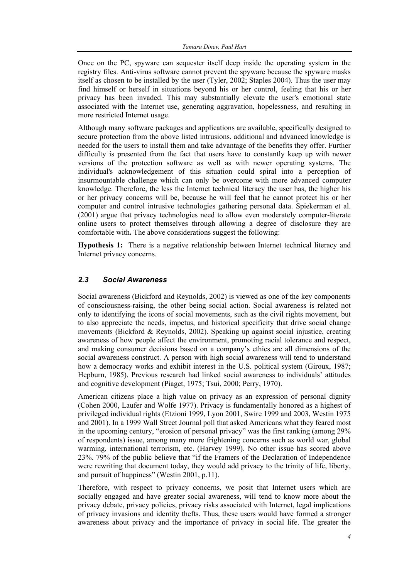Once on the PC, spyware can sequester itself deep inside the operating system in the registry files. Anti-virus software cannot prevent the spyware because the spyware masks itself as chosen to be installed by the user (Tyler, 2002; Staples 2004). Thus the user may find himself or herself in situations beyond his or her control, feeling that his or her privacy has been invaded. This may substantially elevate the user's emotional state associated with the Internet use, generating aggravation, hopelessness, and resulting in more restricted Internet usage.

Although many software packages and applications are available, specifically designed to secure protection from the above listed intrusions, additional and advanced knowledge is needed for the users to install them and take advantage of the benefits they offer. Further difficulty is presented from the fact that users have to constantly keep up with newer versions of the protection software as well as with newer operating systems. The individual's acknowledgement of this situation could spiral into a perception of insurmountable challenge which can only be overcome with more advanced computer knowledge. Therefore, the less the Internet technical literacy the user has, the higher his or her privacy concerns will be, because he will feel that he cannot protect his or her computer and control intrusive technologies gathering personal data. Spiekerman et al. (2001) argue that privacy technologies need to allow even moderately computer-literate online users to protect themselves through allowing a degree of disclosure they are comfortable with**.** The above considerations suggest the following:

**Hypothesis 1:** There is a negative relationship between Internet technical literacy and Internet privacy concerns.

#### *2.3 Social Awareness*

Social awareness (Bickford and Reynolds, 2002) is viewed as one of the key components of consciousness-raising, the other being social action. Social awareness is related not only to identifying the icons of social movements, such as the civil rights movement, but to also appreciate the needs, impetus, and historical specificity that drive social change movements (Bickford & Reynolds, 2002). Speaking up against social injustice, creating awareness of how people affect the environment, promoting racial tolerance and respect, and making consumer decisions based on a company's ethics are all dimensions of the social awareness construct. A person with high social awareness will tend to understand how a democracy works and exhibit interest in the U.S. political system (Giroux, 1987; Hepburn, 1985). Previous research had linked social awareness to individuals' attitudes and cognitive development (Piaget, 1975; Tsui, 2000; Perry, 1970).

American citizens place a high value on privacy as an expression of personal dignity (Cohen 2000, Laufer and Wolfe 1977). Privacy is fundamentally honored as a highest of privileged individual rights (Etzioni 1999, Lyon 2001, Swire 1999 and 2003, Westin 1975 and 2001). In a 1999 Wall Street Journal poll that asked Americans what they feared most in the upcoming century, "erosion of personal privacy" was the first ranking (among 29% of respondents) issue, among many more frightening concerns such as world war, global warming, international terrorism, etc. (Harvey 1999). No other issue has scored above 23%. 79% of the public believe that "if the Framers of the Declaration of Independence were rewriting that document today, they would add privacy to the trinity of life, liberty, and pursuit of happiness" (Westin 2001, p.11).

Therefore, with respect to privacy concerns, we posit that Internet users which are socially engaged and have greater social awareness, will tend to know more about the privacy debate, privacy policies, privacy risks associated with Internet, legal implications of privacy invasions and identity thefts. Thus, these users would have formed a stronger awareness about privacy and the importance of privacy in social life. The greater the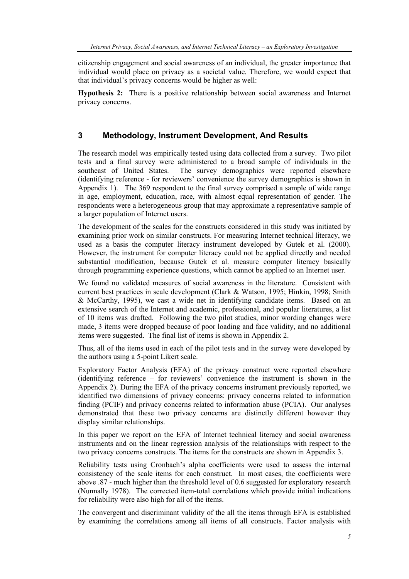citizenship engagement and social awareness of an individual, the greater importance that individual would place on privacy as a societal value. Therefore, we would expect that that individual's privacy concerns would be higher as well:

**Hypothesis 2:** There is a positive relationship between social awareness and Internet privacy concerns.

## **3 Methodology, Instrument Development, And Results**

The research model was empirically tested using data collected from a survey. Two pilot tests and a final survey were administered to a broad sample of individuals in the southeast of United States. The survey demographics were reported elsewhere (identifying reference - for reviewers' convenience the survey demographics is shown in Appendix 1). The 369 respondent to the final survey comprised a sample of wide range in age, employment, education, race, with almost equal representation of gender. The respondents were a heterogeneous group that may approximate a representative sample of a larger population of Internet users.

The development of the scales for the constructs considered in this study was initiated by examining prior work on similar constructs. For measuring Internet technical literacy, we used as a basis the computer literacy instrument developed by Gutek et al. (2000). However, the instrument for computer literacy could not be applied directly and needed substantial modification, because Gutek et al. measure computer literacy basically through programming experience questions, which cannot be applied to an Internet user.

We found no validated measures of social awareness in the literature.Consistent with current best practices in scale development (Clark & Watson, 1995; Hinkin, 1998; Smith & McCarthy, 1995), we cast a wide net in identifying candidate items. Based on an extensive search of the Internet and academic, professional, and popular literatures, a list of 10 items was drafted. Following the two pilot studies, minor wording changes were made, 3 items were dropped because of poor loading and face validity, and no additional items were suggested. The final list of items is shown in Appendix 2.

Thus, all of the items used in each of the pilot tests and in the survey were developed by the authors using a 5-point Likert scale.

Exploratory Factor Analysis (EFA) of the privacy construct were reported elsewhere (identifying reference – for reviewers' convenience the instrument is shown in the Appendix 2). During the EFA of the privacy concerns instrument previously reported, we identified two dimensions of privacy concerns: privacy concerns related to information finding (PCIF) and privacy concerns related to information abuse (PCIA). Our analyses demonstrated that these two privacy concerns are distinctly different however they display similar relationships.

In this paper we report on the EFA of Internet technical literacy and social awareness instruments and on the linear regression analysis of the relationships with respect to the two privacy concerns constructs. The items for the constructs are shown in Appendix 3.

Reliability tests using Cronbach's alpha coefficients were used to assess the internal consistency of the scale items for each construct. In most cases, the coefficients were above .87 - much higher than the threshold level of 0.6 suggested for exploratory research (Nunnally 1978). The corrected item-total correlations which provide initial indications for reliability were also high for all of the items.

The convergent and discriminant validity of the all the items through EFA is established by examining the correlations among all items of all constructs. Factor analysis with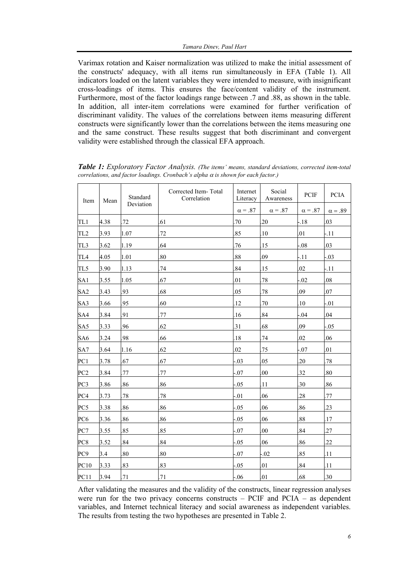Varimax rotation and Kaiser normalization was utilized to make the initial assessment of the constructs' adequacy, with all items run simultaneously in EFA (Table 1). All indicators loaded on the latent variables they were intended to measure, with insignificant cross-loadings of items. This ensures the face/content validity of the instrument. Furthermore, most of the factor loadings range between .7 and .88, as shown in the table. In addition, all inter-item correlations were examined for further verification of discriminant validity. The values of the correlations between items measuring different constructs were significantly lower than the correlations between the items measuring one and the same construct. These results suggest that both discriminant and convergent validity were established through the classical EFA approach.

| Item            | Mean | Standard  | Corrected Item-Total<br>Correlation | Internet<br>Literacy | Social<br>Awareness | PCIF           | <b>PCIA</b>    |
|-----------------|------|-----------|-------------------------------------|----------------------|---------------------|----------------|----------------|
|                 |      | Deviation |                                     | $\alpha = .87$       | $\alpha = .87$      | $\alpha = .87$ | $\alpha = .89$ |
| TL1             | 4.38 | .72       | .61                                 | .70                  | .20                 | $-.18$         | .03            |
| TL <sub>2</sub> | 3.93 | 1.07      | 72                                  | .85                  | 10                  | .01            | $-11$          |
| TL3             | 3.62 | 1.19      | .64                                 | .76                  | .15                 | $-0.08$        | .03            |
| TL4             | 4.05 | 1.01      | .80                                 | .88                  | .09                 | $-.11$         | $-0.03$        |
| TL5             | 3.90 | 1.13      | 74                                  | 84                   | .15                 | .02            | $-11$          |
| SA <sub>1</sub> | 3.55 | 1.05      | 67                                  | .01                  | 78                  | $-0.02$        | 08             |
| SA <sub>2</sub> | 3.43 | .93       | .68                                 | .05                  | .78                 | .09            | .07            |
| SA3             | 3.66 | .95       | .60                                 | 12                   | 70                  | .10            | $-01$          |
| SA4             | 3.84 | .91       | 77                                  | .16                  | 84                  | $-0.04$        | .04            |
| SA5             | 3.33 | .96       | .62                                 | 31                   | .68                 | .09            | $-0.05$        |
| SA <sub>6</sub> | 3.24 | .98       | .66                                 | .18                  | .74                 | .02            | .06            |
| SA7             | 3.64 | 1.16      | .62                                 | .02                  | .75                 | $-0.07$        | .01            |
| PC1             | 3.78 | .67       | .67                                 | $-0.03$              | .05                 | 20             | .78            |
| PC <sub>2</sub> | 3.84 | .77       | 77                                  | $-07$                | .00                 | 32             | .80            |
| PC3             | 3.86 | .86       | .86                                 | $-0.05$              | .11                 | 30             | .86            |
| PC4             | 3.73 | .78       | 78                                  | $-0.01$              | .06                 | .28            | 77             |
| PC5             | 3.38 | .86       | .86                                 | $-0.05$              | .06                 | .86            | .23            |
| PC6             | 3.36 | .86       | .86                                 | $-0.05$              | .06                 | .88            | 17             |
| PC7             | 3.55 | .85       | .85                                 | $-0.07$              | 00                  | .84            | 27             |
| PC8             | 3.52 | .84       | .84                                 | $-0.05$              | .06                 | .86            | 22             |
| PC9             | 3.4  | .80       | .80                                 | $-07$                | $-0.02$             | .85            | 11             |
| PC10            | 3.33 | .83       | .83                                 | $-0.05$              | .01                 | .84            | 11             |
| PC11            | 3.94 | .71       | .71                                 | $-.06$               | .01                 | .68            | .30            |

*Table 1: Exploratory Factor Analysis. (The items' means, standard deviations, corrected item-total correlations, and factor loadings. Cronbach's alpha* α *is shown for each factor.)*

After validating the measures and the validity of the constructs, linear regression analyses were run for the two privacy concerns constructs – PCIF and PCIA – as dependent variables, and Internet technical literacy and social awareness as independent variables. The results from testing the two hypotheses are presented in Table 2.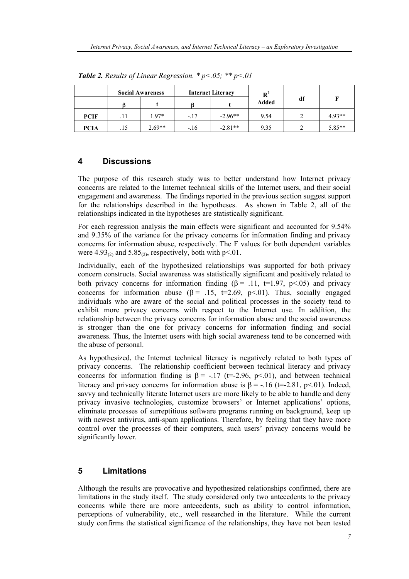|             | <b>Social Awareness</b> |          | <b>Internet Literacy</b> |           | $\mathbb{R}^2$ |    |          |
|-------------|-------------------------|----------|--------------------------|-----------|----------------|----|----------|
|             |                         |          |                          |           | <b>Added</b>   | df | F        |
| <b>PCIF</b> |                         | $1.97*$  | $-.17$                   | $-2.96**$ | 9.54           |    | $4.93**$ |
| PCIA        | .15                     | $2.69**$ | $-.16$                   | $-2.81**$ | 9.35           |    | 5.85**   |

*Table 2. Results of Linear Regression. \* p<.05; \*\* p<.01* 

## **4 Discussions**

The purpose of this research study was to better understand how Internet privacy concerns are related to the Internet technical skills of the Internet users, and their social engagement and awareness. The findings reported in the previous section suggest support for the relationships described in the hypotheses. As shown in Table 2, all of the relationships indicated in the hypotheses are statistically significant.

For each regression analysis the main effects were significant and accounted for 9.54% and 9.35% of the variance for the privacy concerns for information finding and privacy concerns for information abuse, respectively. The F values for both dependent variables were  $4.93<sub>(2)</sub>$  and  $5.85<sub>(2)</sub>$ , respectively, both with p<.01.

Individually, each of the hypothesized relationships was supported for both privacy concern constructs. Social awareness was statistically significant and positively related to both privacy concerns for information finding  $(\beta = .11, t=1.97, p<.05)$  and privacy concerns for information abuse ( $\beta$  = .15, t=2.69, p < 01). Thus, socially engaged individuals who are aware of the social and political processes in the society tend to exhibit more privacy concerns with respect to the Internet use. In addition, the relationship between the privacy concerns for information abuse and the social awareness is stronger than the one for privacy concerns for information finding and social awareness. Thus, the Internet users with high social awareness tend to be concerned with the abuse of personal.

As hypothesized, the Internet technical literacy is negatively related to both types of privacy concerns. The relationship coefficient between technical literacy and privacy concerns for information finding is  $\beta$  = -.17 (t=-2.96, p<.01), and between technical literacy and privacy concerns for information abuse is  $\beta = -16$  (t=-2.81, p<.01). Indeed, savvy and technically literate Internet users are more likely to be able to handle and deny privacy invasive technologies, customize browsers' or Internet applications' options, eliminate processes of surreptitious software programs running on background, keep up with newest antivirus, anti-spam applications. Therefore, by feeling that they have more control over the processes of their computers, such users' privacy concerns would be significantly lower.

## **5 Limitations**

Although the results are provocative and hypothesized relationships confirmed, there are limitations in the study itself. The study considered only two antecedents to the privacy concerns while there are more antecedents, such as ability to control information, perceptions of vulnerability, etc., well researched in the literature. While the current study confirms the statistical significance of the relationships, they have not been tested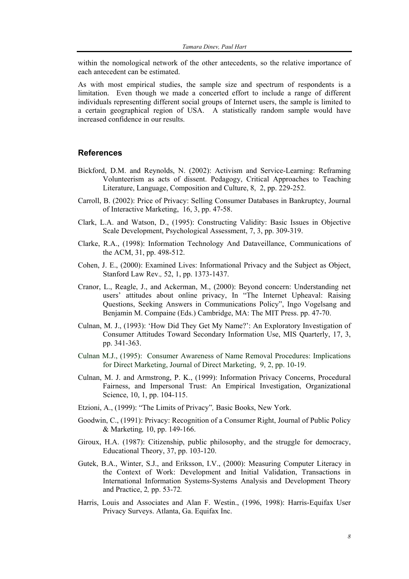within the nomological network of the other antecedents, so the relative importance of each antecedent can be estimated.

As with most empirical studies, the sample size and spectrum of respondents is a limitation. Even though we made a concerted effort to include a range of different individuals representing different social groups of Internet users, the sample is limited to a certain geographical region of USA. A statistically random sample would have increased confidence in our results.

#### **References**

- Bickford, D.M. and Reynolds, N. (2002): Activism and Service-Learning: Reframing Volunteerism as acts of dissent. Pedagogy, Critical Approaches to Teaching Literature, Language, Composition and Culture, 8, 2, pp. 229-252.
- Carroll, B. (2002): Price of Privacy: Selling Consumer Databases in Bankruptcy, Journal of Interactive Marketing, 16, 3, pp. 47-58.
- Clark, L.A. and Watson, D., (1995): Constructing Validity: Basic Issues in Objective Scale Development, Psychological Assessment, 7, 3, pp. 309-319.
- Clarke, R.A., (1998): Information Technology And Dataveillance, Communications of the ACM, 31, pp. 498-512.
- Cohen, J. E., (2000): Examined Lives: Informational Privacy and the Subject as Object, Stanford Law Rev.*,* 52, 1, pp. 1373-1437.
- Cranor, L., Reagle, J., and Ackerman, M., (2000): Beyond concern: Understanding net users' attitudes about online privacy, In "The Internet Upheaval: Raising Questions, Seeking Answers in Communications Policy", Ingo Vogelsang and Benjamin M. Compaine (Eds.) Cambridge, MA: The MIT Press. pp. 47-70.
- Culnan, M. J., (1993): 'How Did They Get My Name?': An Exploratory Investigation of Consumer Attitudes Toward Secondary Information Use, MIS Quarterly, 17, 3, pp. 341-363.
- Culnan M.J., (1995): Consumer Awareness of Name Removal Procedures: Implications for Direct Marketing, Journal of Direct Marketing, 9, 2, pp. 10-19.
- Culnan, M. J. and Armstrong, P. K., (1999): Information Privacy Concerns, Procedural Fairness, and Impersonal Trust: An Empirical Investigation, Organizational Science, 10, 1, pp. 104-115.
- Etzioni, A., (1999): "The Limits of Privacy"*,* Basic Books, New York.
- Goodwin, C., (1991): Privacy: Recognition of a Consumer Right, Journal of Public Policy & Marketing*,* 10, pp. 149-166.
- Giroux, H.A. (1987): Citizenship, public philosophy, and the struggle for democracy, Educational Theory, 37, pp. 103-120.
- Gutek, B.A., Winter, S.J., and Eriksson, I.V., (2000): Measuring Computer Literacy in the Context of Work: Development and Initial Validation, Transactions in International Information Systems-Systems Analysis and Development Theory and Practice, 2*,* pp. 53-72*.*
- Harris, Louis and Associates and Alan F. Westin., (1996, 1998): Harris-Equifax User Privacy Surveys. Atlanta, Ga. Equifax Inc.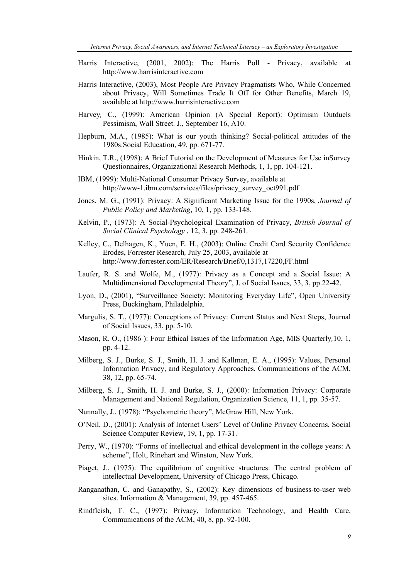- Harris Interactive, (2001, 2002): The Harris Poll Privacy, available at http://www.harrisinteractive.com
- Harris Interactive, (2003), Most People Are Privacy Pragmatists Who, While Concerned about Privacy, Will Sometimes Trade It Off for Other Benefits, March 19, available at http://www.harrisinteractive.com
- Harvey*,* C., (1999): American Opinion (A Special Report): Optimism Outduels Pessimism, Wall Street. J., September 16, A10.
- Hepburn, M.A., (1985): What is our youth thinking? Social-political attitudes of the 1980s.Social Education, 49, pp. 671-77.
- Hinkin, T.R., (1998): A Brief Tutorial on the Development of Measures for Use inSurvey Questionnaires, Organizational Research Methods, 1, 1, pp. 104-121.
- IBM, (1999): Multi-National Consumer Privacy Survey, available at http://www-1.ibm.com/services/files/privacy\_survey\_oct991.pdf
- Jones, M. G., (1991): Privacy: A Significant Marketing Issue for the 1990s, *Journal of Public Policy and Marketing*, 10, 1, pp. 133-148.
- Kelvin, P., (1973): A Social-Psychological Examination of Privacy, *British Journal of Social Clinical Psychology* , 12, 3, pp. 248-261.
- Kelley, C., Delhagen, K., Yuen, E. H., (2003): Online Credit Card Security Confidence Erodes, Forrester Research*,* July 25, 2003, available at http://www.forrester.com/ER/Research/Brief/0,1317,17220,FF.html
- Laufer, R. S. and Wolfe, M., (1977): Privacy as a Concept and a Social Issue: A Multidimensional Developmental Theory", J. of Social Issues*,* 33, 3, pp.22-42.
- Lyon, D., (2001), "Surveillance Society: Monitoring Everyday Life", Open University Press, Buckingham, Philadelphia.
- Margulis, S. T., (1977): Conceptions of Privacy: Current Status and Next Steps, Journal of Social Issues, 33, pp. 5-10.
- Mason, R. O., (1986 ): Four Ethical Issues of the Information Age, MIS Quarterly*,*10, 1, pp. 4-12.
- Milberg, S. J., Burke, S. J., Smith, H. J. and Kallman, E. A., (1995): Values, Personal Information Privacy, and Regulatory Approaches, Communications of the ACM, 38, 12, pp. 65-74.
- Milberg, S. J., Smith, H. J. and Burke, S. J., (2000): Information Privacy: Corporate Management and National Regulation, Organization Science, 11, 1, pp. 35-57.
- Nunnally, J., (1978): "Psychometric theory", McGraw Hill, New York.
- O'Neil, D., (2001): Analysis of Internet Users' Level of Online Privacy Concerns, Social Science Computer Review, 19, 1, pp. 17-31.
- Perry, W., (1970): "Forms of intellectual and ethical development in the college years: A scheme", Holt, Rinehart and Winston, New York.
- Piaget, J., (1975): The equilibrium of cognitive structures: The central problem of intellectual Development, University of Chicago Press, Chicago.
- Ranganathan, C. and Ganapathy, S., (2002): Key dimensions of business-to-user web sites. Information & Management, 39, pp. 457-465.
- Rindfleish, T. C., (1997): Privacy, Information Technology, and Health Care, Communications of the ACM, 40, 8, pp. 92-100.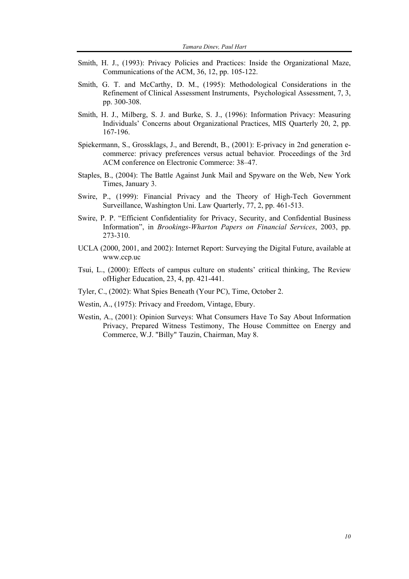- Smith, H. J., (1993): Privacy Policies and Practices: Inside the Organizational Maze, Communications of the ACM, 36, 12, pp. 105-122.
- Smith, G. T. and McCarthy, D. M., (1995): Methodological Considerations in the Refinement of Clinical Assessment Instruments, Psychological Assessment, 7, 3, pp. 300-308.
- Smith, H. J., Milberg, S. J. and Burke, S. J., (1996): Information Privacy: Measuring Individuals' Concerns about Organizational Practices, MIS Quarterly 20, 2, pp. 167-196.
- Spiekermann, S., Grossklags, J., and Berendt, B., (2001): E-privacy in 2nd generation ecommerce: privacy preferences versus actual behavior*.* Proceedings of the 3rd ACM conference on Electronic Commerce: 38–47.
- Staples, B., (2004): The Battle Against Junk Mail and Spyware on the Web, New York Times, January 3.
- Swire, P., (1999): Financial Privacy and the Theory of High-Tech Government Surveillance, Washington Uni. Law Quarterly, 77, 2, pp. 461-513.
- Swire, P. P. "Efficient Confidentiality for Privacy, Security, and Confidential Business Information", in *Brookings-Wharton Papers on Financial Services*, 2003, pp. 273-310.
- UCLA (2000, 2001, and 2002): Internet Report: Surveying the Digital Future, available at www.ccp.uc
- Tsui, L., (2000): Effects of campus culture on students' critical thinking, The Review ofHigher Education, 23, 4, pp. 421-441.
- Tyler, C., (2002): What Spies Beneath (Your PC), Time, October 2.
- Westin, A., (1975): Privacy and Freedom, Vintage, Ebury.
- Westin, A., (2001): Opinion Surveys: What Consumers Have To Say About Information Privacy, Prepared Witness Testimony, The House Committee on Energy and Commerce, W.J. "Billy" Tauzin, Chairman, May 8.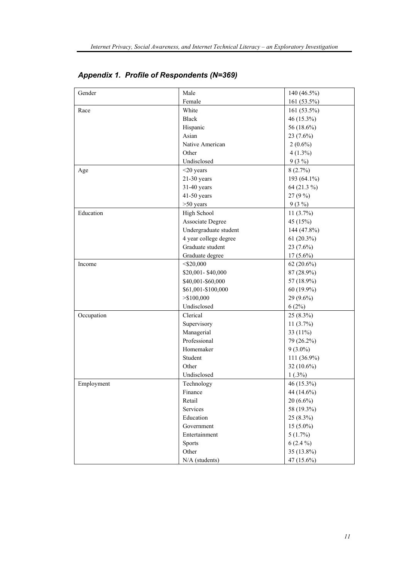| Gender     | Male                  | 140 (46.5%)   |
|------------|-----------------------|---------------|
|            | Female                | 161 (53.5%)   |
| Race       | White                 | 161 (53.5%)   |
|            | <b>Black</b>          | 46 (15.3%)    |
|            | Hispanic              | 56 (18.6%)    |
|            | Asian                 | $23(7.6\%)$   |
|            | Native American       | $2(0.6\%)$    |
|            | Other                 | $4(1.3\%)$    |
|            | Undisclosed           | $9(3\%)$      |
| Age        | $<$ 20 years          | 8(2.7%)       |
|            | $21-30$ years         | 193 (64.1%)   |
|            | 31-40 years           | 64 (21.3 %)   |
|            | 41-50 years           | 27 (9 %)      |
|            | $>50$ years           | $9(3\%)$      |
| Education  | <b>High School</b>    | 11 $(3.7%)$   |
|            | Associate Degree      | 45 (15%)      |
|            | Undergraduate student | 144 (47.8%)   |
|            | 4 year college degree | $61(20.3\%)$  |
|            | Graduate student      | $23(7.6\%)$   |
|            | Graduate degree       | $17(5.6\%)$   |
| Income     | $<$ \$20,000          | 62 $(20.6\%)$ |
|            | \$20,001-\$40,000     | 87 (28.9%)    |
|            | \$40,001-\$60,000     | 57 (18.9%)    |
|            | \$61,001-\$100,000    | 60 (19.9%)    |
|            | > \$100,000           | 29 (9.6%)     |
|            | Undisclosed           | 6(2%)         |
| Occupation | Clerical              | $25(8.3\%)$   |
|            | Supervisory           | 11(3.7%)      |
|            | Managerial            | 33 (11%)      |
|            | Professional          | 79 (26.2%)    |
|            | Homemaker             | $9(3.0\%)$    |
|            | Student               | 111 (36.9%)   |
|            | Other                 | 32 (10.6%)    |
|            | Undisclosed           | $1(.3\%)$     |
| Employment | Technology            | 46 (15.3%)    |
|            | Finance               | 44 (14.6%)    |
|            | Retail                | $20(6.6\%)$   |
|            | Services              | 58 (19.3%)    |
|            | Education             | $25(8.3\%)$   |
|            | Government            | $15(5.0\%)$   |
|            | Entertainment         | 5(1.7%)       |
|            | Sports                | $6(2.4\%)$    |
|            | Other                 | 35 (13.8%)    |
|            | N/A (students)        | 47 (15.6%)    |

# *Appendix 1. Profile of Respondents (N=369)*